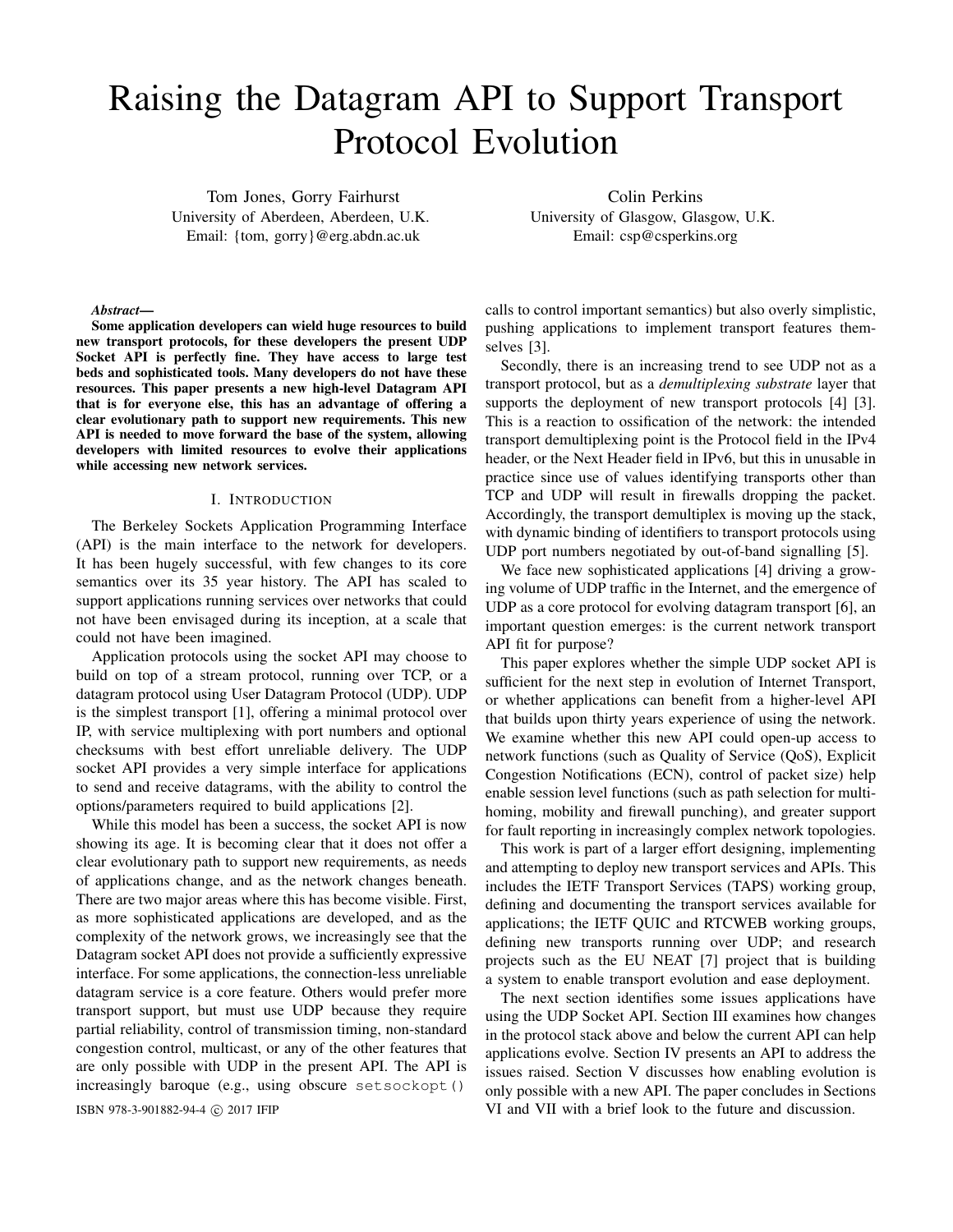# Raising the Datagram API to Support Transport Protocol Evolution

Tom Jones, Gorry Fairhurst University of Aberdeen, Aberdeen, U.K. Email: {tom, gorry}@erg.abdn.ac.uk

Colin Perkins University of Glasgow, Glasgow, U.K. Email: csp@csperkins.org

#### *Abstract*—

Some application developers can wield huge resources to build new transport protocols, for these developers the present UDP Socket API is perfectly fine. They have access to large test beds and sophisticated tools. Many developers do not have these resources. This paper presents a new high-level Datagram API that is for everyone else, this has an advantage of offering a clear evolutionary path to support new requirements. This new API is needed to move forward the base of the system, allowing developers with limited resources to evolve their applications while accessing new network services.

#### I. INTRODUCTION

The Berkeley Sockets Application Programming Interface (API) is the main interface to the network for developers. It has been hugely successful, with few changes to its core semantics over its 35 year history. The API has scaled to support applications running services over networks that could not have been envisaged during its inception, at a scale that could not have been imagined.

Application protocols using the socket API may choose to build on top of a stream protocol, running over TCP, or a datagram protocol using User Datagram Protocol (UDP). UDP is the simplest transport [1], offering a minimal protocol over IP, with service multiplexing with port numbers and optional checksums with best effort unreliable delivery. The UDP socket API provides a very simple interface for applications to send and receive datagrams, with the ability to control the options/parameters required to build applications [2].

While this model has been a success, the socket API is now showing its age. It is becoming clear that it does not offer a clear evolutionary path to support new requirements, as needs of applications change, and as the network changes beneath. There are two major areas where this has become visible. First, as more sophisticated applications are developed, and as the complexity of the network grows, we increasingly see that the Datagram socket API does not provide a sufficiently expressive interface. For some applications, the connection-less unreliable datagram service is a core feature. Others would prefer more transport support, but must use UDP because they require partial reliability, control of transmission timing, non-standard congestion control, multicast, or any of the other features that are only possible with UDP in the present API. The API is increasingly baroque (e.g., using obscure setsockopt()

calls to control important semantics) but also overly simplistic, pushing applications to implement transport features themselves [3].

Secondly, there is an increasing trend to see UDP not as a transport protocol, but as a *demultiplexing substrate* layer that supports the deployment of new transport protocols [4] [3]. This is a reaction to ossification of the network: the intended transport demultiplexing point is the Protocol field in the IPv4 header, or the Next Header field in IPv6, but this in unusable in practice since use of values identifying transports other than TCP and UDP will result in firewalls dropping the packet. Accordingly, the transport demultiplex is moving up the stack, with dynamic binding of identifiers to transport protocols using UDP port numbers negotiated by out-of-band signalling [5].

We face new sophisticated applications [4] driving a growing volume of UDP traffic in the Internet, and the emergence of UDP as a core protocol for evolving datagram transport [6], an important question emerges: is the current network transport API fit for purpose?

This paper explores whether the simple UDP socket API is sufficient for the next step in evolution of Internet Transport, or whether applications can benefit from a higher-level API that builds upon thirty years experience of using the network. We examine whether this new API could open-up access to network functions (such as Quality of Service (QoS), Explicit Congestion Notifications (ECN), control of packet size) help enable session level functions (such as path selection for multihoming, mobility and firewall punching), and greater support for fault reporting in increasingly complex network topologies.

This work is part of a larger effort designing, implementing and attempting to deploy new transport services and APIs. This includes the IETF Transport Services (TAPS) working group, defining and documenting the transport services available for applications; the IETF QUIC and RTCWEB working groups, defining new transports running over UDP; and research projects such as the EU NEAT [7] project that is building a system to enable transport evolution and ease deployment.

The next section identifies some issues applications have using the UDP Socket API. Section III examines how changes in the protocol stack above and below the current API can help applications evolve. Section IV presents an API to address the issues raised. Section V discusses how enabling evolution is only possible with a new API. The paper concludes in Sections ISBN 978-3-901882-94-4 c 2017 IFIP VI and VII with a brief look to the future and discussion.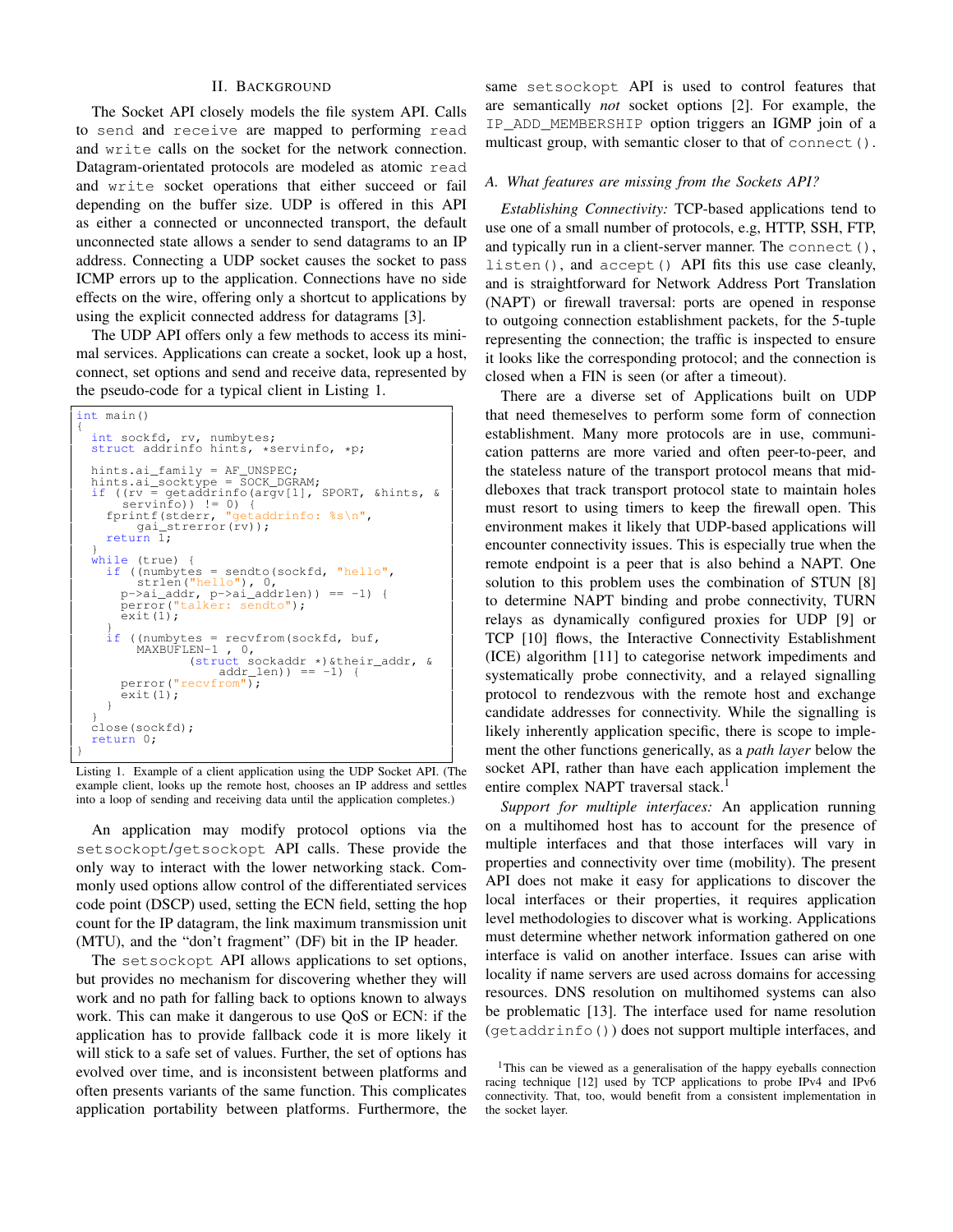# II. BACKGROUND

The Socket API closely models the file system API. Calls to send and receive are mapped to performing read and write calls on the socket for the network connection. Datagram-orientated protocols are modeled as atomic read and write socket operations that either succeed or fail depending on the buffer size. UDP is offered in this API as either a connected or unconnected transport, the default unconnected state allows a sender to send datagrams to an IP address. Connecting a UDP socket causes the socket to pass ICMP errors up to the application. Connections have no side effects on the wire, offering only a shortcut to applications by using the explicit connected address for datagrams [3].

The UDP API offers only a few methods to access its minimal services. Applications can create a socket, look up a host, connect, set options and send and receive data, represented by the pseudo-code for a typical client in Listing 1.

```
int main()
{
    int sockfd, rv, numbytes;
struct addrinfo hints, *servinfo, *p;
    hints.ai_family = AF_UNSPEC;<br>hints.ai_socktype = SOCK_DGRAM;<br>if ((rv = getaddrinfo(argv[1], SPORT, &hints, &<br>servinfo)) != 0) {<br>fprintf(stderr, "getaddrinfo: %s\n",
       qai_strerror(rv));<br>return 1;
    }
while (true) {
       if ((numbytes = sendto(sockfd, "hello",
           strlen("hello"), 0,<br>p->ai_addr, p->ai_addrlen)) == -1) {<br>perror("talker: sendto");
          ext(1);}
if ((numbytes = recvfrom(sockfd, buf,
MAXBUFLEN-1 , 0,
(struct sockaddr *)&their_addr, &
                                  addr_length) = -1) {
          perror("recvfrom");
          ext(1);}
    }
close(sockfd);
   return 0;
}
```
Listing 1. Example of a client application using the UDP Socket API. (The example client, looks up the remote host, chooses an IP address and settles into a loop of sending and receiving data until the application completes.)

An application may modify protocol options via the setsockopt/getsockopt API calls. These provide the only way to interact with the lower networking stack. Commonly used options allow control of the differentiated services code point (DSCP) used, setting the ECN field, setting the hop count for the IP datagram, the link maximum transmission unit (MTU), and the "don't fragment" (DF) bit in the IP header.

The setsockopt API allows applications to set options, but provides no mechanism for discovering whether they will work and no path for falling back to options known to always work. This can make it dangerous to use QoS or ECN: if the application has to provide fallback code it is more likely it will stick to a safe set of values. Further, the set of options has evolved over time, and is inconsistent between platforms and often presents variants of the same function. This complicates application portability between platforms. Furthermore, the

same setsockopt API is used to control features that are semantically *not* socket options [2]. For example, the IP\_ADD\_MEMBERSHIP option triggers an IGMP join of a multicast group, with semantic closer to that of connect().

# *A. What features are missing from the Sockets API?*

*Establishing Connectivity:* TCP-based applications tend to use one of a small number of protocols, e.g, HTTP, SSH, FTP, and typically run in a client-server manner. The connect (), listen(), and accept() API fits this use case cleanly, and is straightforward for Network Address Port Translation (NAPT) or firewall traversal: ports are opened in response to outgoing connection establishment packets, for the 5-tuple representing the connection; the traffic is inspected to ensure it looks like the corresponding protocol; and the connection is closed when a FIN is seen (or after a timeout).

There are a diverse set of Applications built on UDP that need themeselves to perform some form of connection establishment. Many more protocols are in use, communication patterns are more varied and often peer-to-peer, and the stateless nature of the transport protocol means that middleboxes that track transport protocol state to maintain holes must resort to using timers to keep the firewall open. This environment makes it likely that UDP-based applications will encounter connectivity issues. This is especially true when the remote endpoint is a peer that is also behind a NAPT. One solution to this problem uses the combination of STUN [8] to determine NAPT binding and probe connectivity, TURN relays as dynamically configured proxies for UDP [9] or TCP [10] flows, the Interactive Connectivity Establishment (ICE) algorithm [11] to categorise network impediments and systematically probe connectivity, and a relayed signalling protocol to rendezvous with the remote host and exchange candidate addresses for connectivity. While the signalling is likely inherently application specific, there is scope to implement the other functions generically, as a *path layer* below the socket API, rather than have each application implement the entire complex NAPT traversal stack.<sup>1</sup>

*Support for multiple interfaces:* An application running on a multihomed host has to account for the presence of multiple interfaces and that those interfaces will vary in properties and connectivity over time (mobility). The present API does not make it easy for applications to discover the local interfaces or their properties, it requires application level methodologies to discover what is working. Applications must determine whether network information gathered on one interface is valid on another interface. Issues can arise with locality if name servers are used across domains for accessing resources. DNS resolution on multihomed systems can also be problematic [13]. The interface used for name resolution (getaddrinfo()) does not support multiple interfaces, and

<sup>&</sup>lt;sup>1</sup>This can be viewed as a generalisation of the happy eyeballs connection racing technique [12] used by TCP applications to probe IPv4 and IPv6 connectivity. That, too, would benefit from a consistent implementation in the socket layer.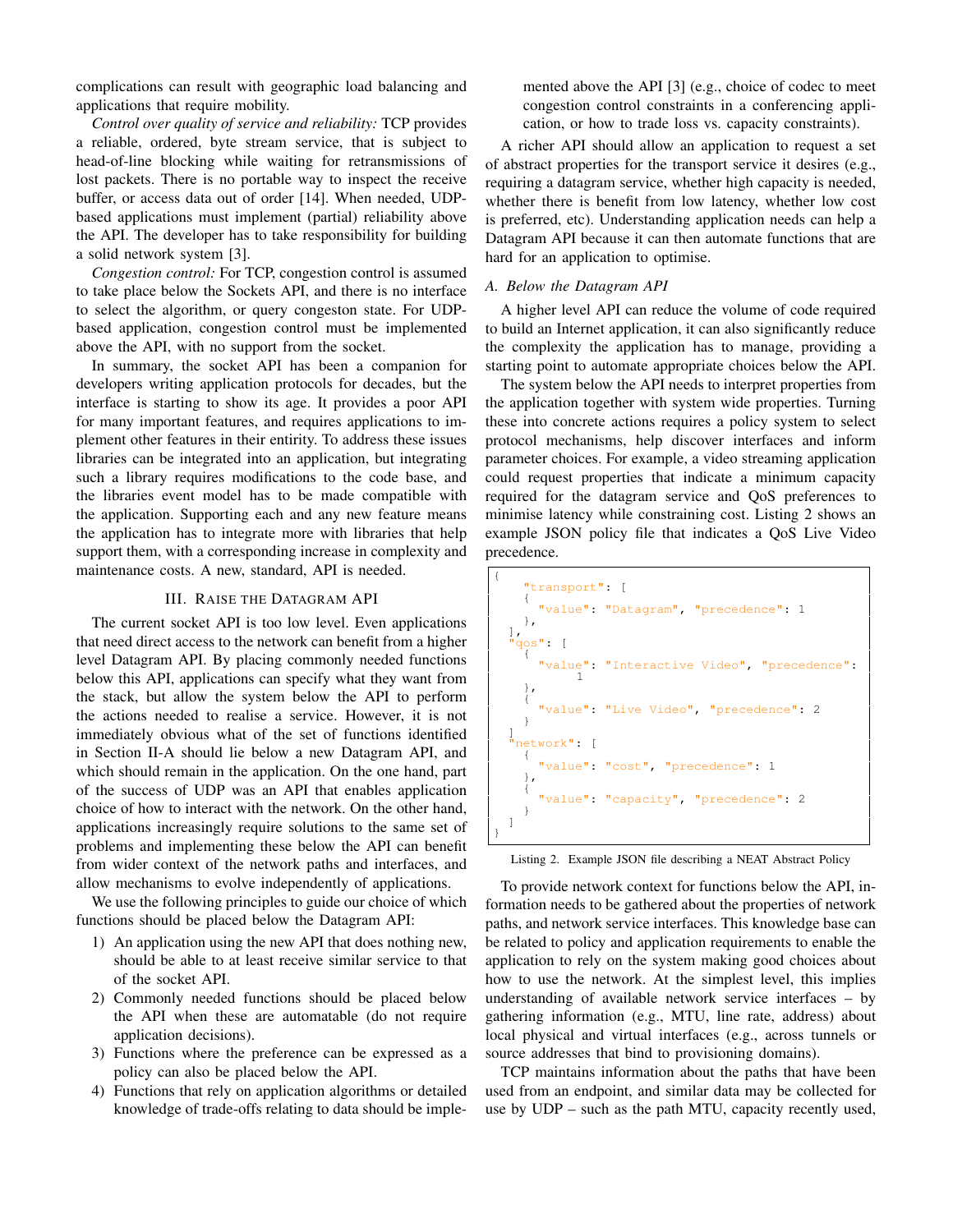complications can result with geographic load balancing and applications that require mobility.

*Control over quality of service and reliability:* TCP provides a reliable, ordered, byte stream service, that is subject to head-of-line blocking while waiting for retransmissions of lost packets. There is no portable way to inspect the receive buffer, or access data out of order [14]. When needed, UDPbased applications must implement (partial) reliability above the API. The developer has to take responsibility for building a solid network system [3].

*Congestion control:* For TCP, congestion control is assumed to take place below the Sockets API, and there is no interface to select the algorithm, or query congeston state. For UDPbased application, congestion control must be implemented above the API, with no support from the socket.

In summary, the socket API has been a companion for developers writing application protocols for decades, but the interface is starting to show its age. It provides a poor API for many important features, and requires applications to implement other features in their entirity. To address these issues libraries can be integrated into an application, but integrating such a library requires modifications to the code base, and the libraries event model has to be made compatible with the application. Supporting each and any new feature means the application has to integrate more with libraries that help support them, with a corresponding increase in complexity and maintenance costs. A new, standard, API is needed.

# III. RAISE THE DATAGRAM API

The current socket API is too low level. Even applications that need direct access to the network can benefit from a higher level Datagram API. By placing commonly needed functions below this API, applications can specify what they want from the stack, but allow the system below the API to perform the actions needed to realise a service. However, it is not immediately obvious what of the set of functions identified in Section II-A should lie below a new Datagram API, and which should remain in the application. On the one hand, part of the success of UDP was an API that enables application choice of how to interact with the network. On the other hand, applications increasingly require solutions to the same set of problems and implementing these below the API can benefit from wider context of the network paths and interfaces, and allow mechanisms to evolve independently of applications.

We use the following principles to guide our choice of which functions should be placed below the Datagram API:

- 1) An application using the new API that does nothing new, should be able to at least receive similar service to that of the socket API.
- 2) Commonly needed functions should be placed below the API when these are automatable (do not require application decisions).
- 3) Functions where the preference can be expressed as a policy can also be placed below the API.
- 4) Functions that rely on application algorithms or detailed knowledge of trade-offs relating to data should be imple-

mented above the API [3] (e.g., choice of codec to meet congestion control constraints in a conferencing application, or how to trade loss vs. capacity constraints).

A richer API should allow an application to request a set of abstract properties for the transport service it desires (e.g., requiring a datagram service, whether high capacity is needed, whether there is benefit from low latency, whether low cost is preferred, etc). Understanding application needs can help a Datagram API because it can then automate functions that are hard for an application to optimise.

### *A. Below the Datagram API*

A higher level API can reduce the volume of code required to build an Internet application, it can also significantly reduce the complexity the application has to manage, providing a starting point to automate appropriate choices below the API.

The system below the API needs to interpret properties from the application together with system wide properties. Turning these into concrete actions requires a policy system to select protocol mechanisms, help discover interfaces and inform parameter choices. For example, a video streaming application could request properties that indicate a minimum capacity required for the datagram service and QoS preferences to minimise latency while constraining cost. Listing 2 shows an example JSON policy file that indicates a QoS Live Video precedence.



Listing 2. Example JSON file describing a NEAT Abstract Policy

To provide network context for functions below the API, information needs to be gathered about the properties of network paths, and network service interfaces. This knowledge base can be related to policy and application requirements to enable the application to rely on the system making good choices about how to use the network. At the simplest level, this implies understanding of available network service interfaces – by gathering information (e.g., MTU, line rate, address) about local physical and virtual interfaces (e.g., across tunnels or source addresses that bind to provisioning domains).

TCP maintains information about the paths that have been used from an endpoint, and similar data may be collected for use by UDP – such as the path MTU, capacity recently used,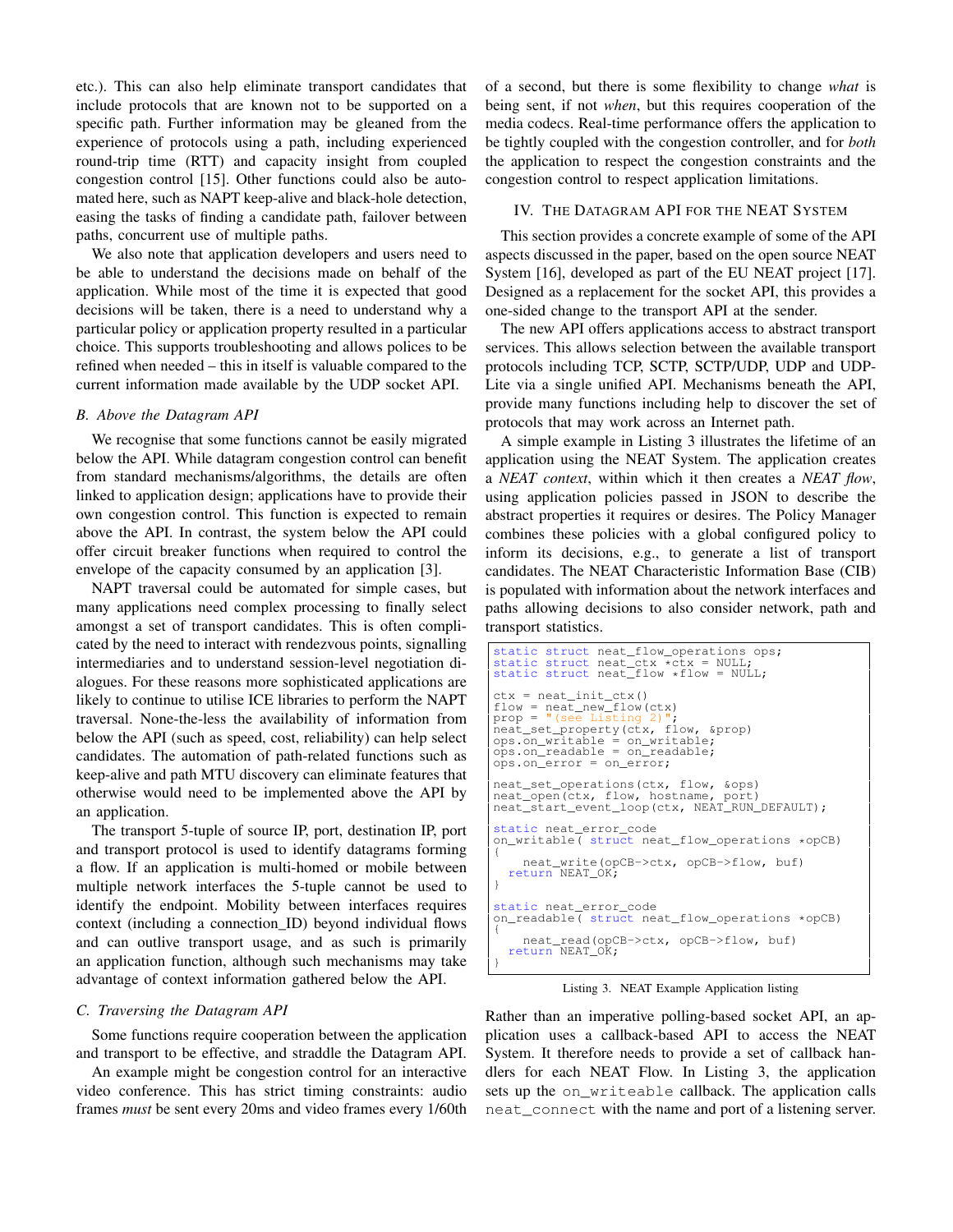etc.). This can also help eliminate transport candidates that include protocols that are known not to be supported on a specific path. Further information may be gleaned from the experience of protocols using a path, including experienced round-trip time (RTT) and capacity insight from coupled congestion control [15]. Other functions could also be automated here, such as NAPT keep-alive and black-hole detection, easing the tasks of finding a candidate path, failover between paths, concurrent use of multiple paths.

We also note that application developers and users need to be able to understand the decisions made on behalf of the application. While most of the time it is expected that good decisions will be taken, there is a need to understand why a particular policy or application property resulted in a particular choice. This supports troubleshooting and allows polices to be refined when needed – this in itself is valuable compared to the current information made available by the UDP socket API.

# *B. Above the Datagram API*

We recognise that some functions cannot be easily migrated below the API. While datagram congestion control can benefit from standard mechanisms/algorithms, the details are often linked to application design; applications have to provide their own congestion control. This function is expected to remain above the API. In contrast, the system below the API could offer circuit breaker functions when required to control the envelope of the capacity consumed by an application [3].

NAPT traversal could be automated for simple cases, but many applications need complex processing to finally select amongst a set of transport candidates. This is often complicated by the need to interact with rendezvous points, signalling intermediaries and to understand session-level negotiation dialogues. For these reasons more sophisticated applications are likely to continue to utilise ICE libraries to perform the NAPT traversal. None-the-less the availability of information from below the API (such as speed, cost, reliability) can help select candidates. The automation of path-related functions such as keep-alive and path MTU discovery can eliminate features that otherwise would need to be implemented above the API by an application.

The transport 5-tuple of source IP, port, destination IP, port and transport protocol is used to identify datagrams forming a flow. If an application is multi-homed or mobile between multiple network interfaces the 5-tuple cannot be used to identify the endpoint. Mobility between interfaces requires context (including a connection\_ID) beyond individual flows and can outlive transport usage, and as such is primarily an application function, although such mechanisms may take advantage of context information gathered below the API.

# *C. Traversing the Datagram API*

Some functions require cooperation between the application and transport to be effective, and straddle the Datagram API.

An example might be congestion control for an interactive video conference. This has strict timing constraints: audio frames *must* be sent every 20ms and video frames every 1/60th of a second, but there is some flexibility to change *what* is being sent, if not *when*, but this requires cooperation of the media codecs. Real-time performance offers the application to be tightly coupled with the congestion controller, and for *both* the application to respect the congestion constraints and the congestion control to respect application limitations.

## IV. THE DATAGRAM API FOR THE NEAT SYSTEM

This section provides a concrete example of some of the API aspects discussed in the paper, based on the open source NEAT System [16], developed as part of the EU NEAT project [17]. Designed as a replacement for the socket API, this provides a one-sided change to the transport API at the sender.

The new API offers applications access to abstract transport services. This allows selection between the available transport protocols including TCP, SCTP, SCTP/UDP, UDP and UDP-Lite via a single unified API. Mechanisms beneath the API, provide many functions including help to discover the set of protocols that may work across an Internet path.

A simple example in Listing 3 illustrates the lifetime of an application using the NEAT System. The application creates a *NEAT context*, within which it then creates a *NEAT flow*, using application policies passed in JSON to describe the abstract properties it requires or desires. The Policy Manager combines these policies with a global configured policy to inform its decisions, e.g., to generate a list of transport candidates. The NEAT Characteristic Information Base (CIB) is populated with information about the network interfaces and paths allowing decisions to also consider network, path and transport statistics.

```
static struct neat_flow_operations ops;
static struct neat_ctx *ctx = NULL;<br>static struct neat_flow *flow = NULL;
ctx = neat_init_ctx()
flow = neat_new_flow(ctx)
prop = "(see Listing 2)";
neat_set_property(ctx, flow, &prop)
ops.on_writable = on_writable;
ops.on_readable = on_readable;
ops.on_error = on_error;
neat_set_operations(ctx, flow, &ops)<br>neat open(ctx, flow, hostname, port)
neat_open(ctx, flow, hostname,
neat_start_event_loop(ctx, NEAT_RUN_DEFAULT);
static neat_error_code
on_writable( struct neat_flow_operations *opCB)
{
   neat_write(opCB->ctx, opCB->flow, buf)
return NEAT_OK;
}
static neat_error_code
on_readable( struct neat_flow_operations *opCB)
{
   neat_read(opCB->ctx, opCB->flow, buf)
return NEAT_OK;
}
```
Listing 3. NEAT Example Application listing

Rather than an imperative polling-based socket API, an application uses a callback-based API to access the NEAT System. It therefore needs to provide a set of callback handlers for each NEAT Flow. In Listing 3, the application sets up the on\_writeable callback. The application calls neat connect with the name and port of a listening server.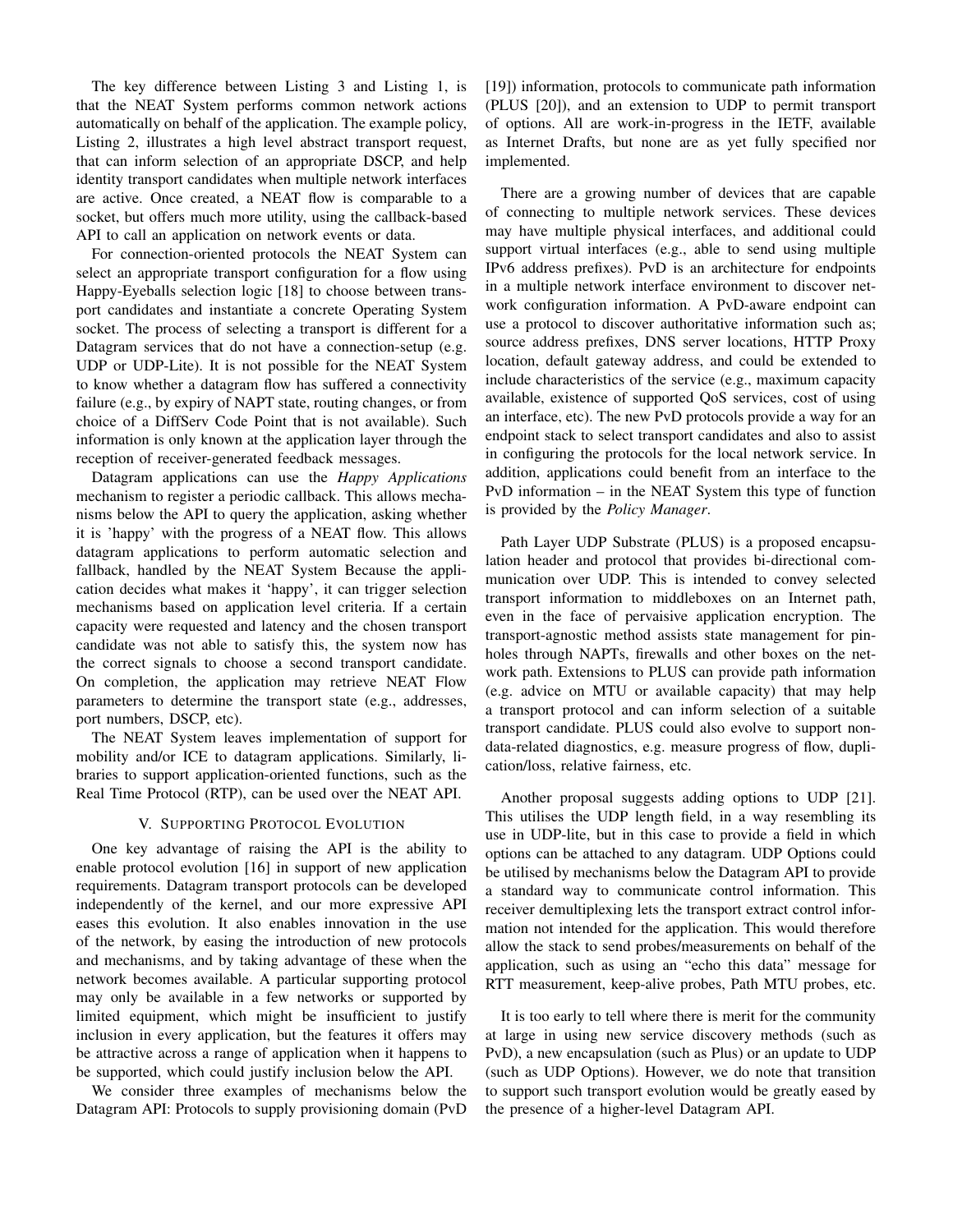The key difference between Listing 3 and Listing 1, is that the NEAT System performs common network actions automatically on behalf of the application. The example policy, Listing 2, illustrates a high level abstract transport request, that can inform selection of an appropriate DSCP, and help identity transport candidates when multiple network interfaces are active. Once created, a NEAT flow is comparable to a socket, but offers much more utility, using the callback-based API to call an application on network events or data.

For connection-oriented protocols the NEAT System can select an appropriate transport configuration for a flow using Happy-Eyeballs selection logic [18] to choose between transport candidates and instantiate a concrete Operating System socket. The process of selecting a transport is different for a Datagram services that do not have a connection-setup (e.g. UDP or UDP-Lite). It is not possible for the NEAT System to know whether a datagram flow has suffered a connectivity failure (e.g., by expiry of NAPT state, routing changes, or from choice of a DiffServ Code Point that is not available). Such information is only known at the application layer through the reception of receiver-generated feedback messages.

Datagram applications can use the *Happy Applications* mechanism to register a periodic callback. This allows mechanisms below the API to query the application, asking whether it is 'happy' with the progress of a NEAT flow. This allows datagram applications to perform automatic selection and fallback, handled by the NEAT System Because the application decides what makes it 'happy', it can trigger selection mechanisms based on application level criteria. If a certain capacity were requested and latency and the chosen transport candidate was not able to satisfy this, the system now has the correct signals to choose a second transport candidate. On completion, the application may retrieve NEAT Flow parameters to determine the transport state (e.g., addresses, port numbers, DSCP, etc).

The NEAT System leaves implementation of support for mobility and/or ICE to datagram applications. Similarly, libraries to support application-oriented functions, such as the Real Time Protocol (RTP), can be used over the NEAT API.

## V. SUPPORTING PROTOCOL EVOLUTION

One key advantage of raising the API is the ability to enable protocol evolution [16] in support of new application requirements. Datagram transport protocols can be developed independently of the kernel, and our more expressive API eases this evolution. It also enables innovation in the use of the network, by easing the introduction of new protocols and mechanisms, and by taking advantage of these when the network becomes available. A particular supporting protocol may only be available in a few networks or supported by limited equipment, which might be insufficient to justify inclusion in every application, but the features it offers may be attractive across a range of application when it happens to be supported, which could justify inclusion below the API.

We consider three examples of mechanisms below the Datagram API: Protocols to supply provisioning domain (PvD [19]) information, protocols to communicate path information (PLUS [20]), and an extension to UDP to permit transport of options. All are work-in-progress in the IETF, available as Internet Drafts, but none are as yet fully specified nor implemented.

There are a growing number of devices that are capable of connecting to multiple network services. These devices may have multiple physical interfaces, and additional could support virtual interfaces (e.g., able to send using multiple IPv6 address prefixes). PvD is an architecture for endpoints in a multiple network interface environment to discover network configuration information. A PvD-aware endpoint can use a protocol to discover authoritative information such as; source address prefixes, DNS server locations, HTTP Proxy location, default gateway address, and could be extended to include characteristics of the service (e.g., maximum capacity available, existence of supported QoS services, cost of using an interface, etc). The new PvD protocols provide a way for an endpoint stack to select transport candidates and also to assist in configuring the protocols for the local network service. In addition, applications could benefit from an interface to the PvD information – in the NEAT System this type of function is provided by the *Policy Manager*.

Path Layer UDP Substrate (PLUS) is a proposed encapsulation header and protocol that provides bi-directional communication over UDP. This is intended to convey selected transport information to middleboxes on an Internet path, even in the face of pervaisive application encryption. The transport-agnostic method assists state management for pinholes through NAPTs, firewalls and other boxes on the network path. Extensions to PLUS can provide path information (e.g. advice on MTU or available capacity) that may help a transport protocol and can inform selection of a suitable transport candidate. PLUS could also evolve to support nondata-related diagnostics, e.g. measure progress of flow, duplication/loss, relative fairness, etc.

Another proposal suggests adding options to UDP [21]. This utilises the UDP length field, in a way resembling its use in UDP-lite, but in this case to provide a field in which options can be attached to any datagram. UDP Options could be utilised by mechanisms below the Datagram API to provide a standard way to communicate control information. This receiver demultiplexing lets the transport extract control information not intended for the application. This would therefore allow the stack to send probes/measurements on behalf of the application, such as using an "echo this data" message for RTT measurement, keep-alive probes, Path MTU probes, etc.

It is too early to tell where there is merit for the community at large in using new service discovery methods (such as PvD), a new encapsulation (such as Plus) or an update to UDP (such as UDP Options). However, we do note that transition to support such transport evolution would be greatly eased by the presence of a higher-level Datagram API.